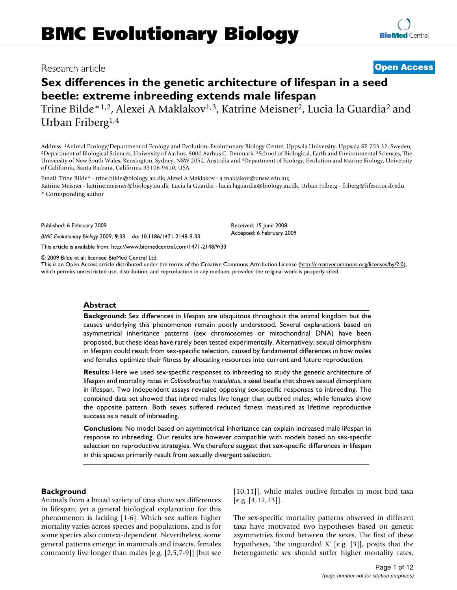# **Sex differences in the genetic architecture of lifespan in a seed beetle: extreme inbreeding extends male lifespan**

Trine Bilde\*<sup>1,2</sup>, Alexei A Maklakov<sup>1,3</sup>, Katrine Meisner<sup>2</sup>, Lucia la Guardia<sup>2</sup> and Urban Friberg1,4

Address: 1Animal Ecology/Department of Ecology and Evolution, Evolutionary Biology Centre, Uppsala University, Uppsala SE-753 32, Sweden, 2Department of Biological Sciences, University of Aarhus, 8000 Aarhus C, Denmark, 3School of Biological, Earth and Environmental Sciences, The University of New South Wales, Kensington, Sydney, NSW 2052, Australia and 4Department of Ecology, Evolution and Marine Biology, University of California, Santa Barbara, California 93106-9610, USA

Email: Trine Bilde\* - trine.bilde@biology.au.dk; Alexei A Maklakov - a.maklakov@unsw.edu.au; Katrine Meisner - katrine.meisner@biology.au.dk; Lucia la Guardia - lucia.laguardia@biology.au.dk; Urban Friberg - friberg@lifesci.ucsb.edu \* Corresponding author

Published: 6 February 2009

*BMC Evolutionary Biology* 2009, **9**:33 doi:10.1186/1471-2148-9-33

[This article is available from: http://www.biomedcentral.com/1471-2148/9/33](http://www.biomedcentral.com/1471-2148/9/33)

© 2009 Bilde et al; licensee BioMed Central Ltd.

This is an Open Access article distributed under the terms of the Creative Commons Attribution License [\(http://creativecommons.org/licenses/by/2.0\)](http://creativecommons.org/licenses/by/2.0), which permits unrestricted use, distribution, and reproduction in any medium, provided the original work is properly cited.

#### **Abstract**

**Background:** Sex differences in lifespan are ubiquitous throughout the animal kingdom but the causes underlying this phenomenon remain poorly understood. Several explanations based on asymmetrical inheritance patterns (sex chromosomes or mitochondrial DNA) have been proposed, but these ideas have rarely been tested experimentally. Alternatively, sexual dimorphism in lifespan could result from sex-specific selection, caused by fundamental differences in how males and females optimize their fitness by allocating resources into current and future reproduction.

**Results:** Here we used sex-specific responses to inbreeding to study the genetic architecture of lifespan and mortality rates in *Callosobruchus maculatus*, a seed beetle that shows sexual dimorphism in lifespan. Two independent assays revealed opposing sex-specific responses to inbreeding. The combined data set showed that inbred males live longer than outbred males, while females show the opposite pattern. Both sexes suffered reduced fitness measured as lifetime reproductive success as a result of inbreeding.

**Conclusion:** No model based on asymmetrical inheritance can explain increased male lifespan in response to inbreeding. Our results are however compatible with models based on sex-specific selection on reproductive strategies. We therefore suggest that sex-specific differences in lifespan in this species primarily result from sexually divergent selection.

#### **Background**

Animals from a broad variety of taxa show sex differences in lifespan, yet a general biological explanation for this phenomenon is lacking [\[1-](#page-10-0)[6](#page-10-1)]. Which sex suffers higher mortality varies across species and populations, and is for some species also context-dependent. Nevertheless, some general patterns emerge: in mammals and insects, females commonly live longer than males [e.g. [[2](#page-10-2),[5](#page-10-3),[7](#page-10-4)[-9](#page-10-5)]] [but see [[10](#page-10-6),[11\]](#page-10-7)], while males outlive females in most bird taxa  $[e.g. [4,12,13]].$  $[e.g. [4,12,13]].$  $[e.g. [4,12,13]].$  $[e.g. [4,12,13]].$  $[e.g. [4,12,13]].$  $[e.g. [4,12,13]].$  $[e.g. [4,12,13]].$ 

The sex-specific mortality patterns observed in different taxa have motivated two hypotheses based on genetic asymmetries found between the sexes. The first of these hypotheses, 'the unguarded X' [e.g. [[3](#page-10-11)]], posits that the heterogametic sex should suffer higher mortality rates,

## Research article **[Open Access](http://www.biomedcentral.com/info/about/charter/)**

Received: 15 June 2008 Accepted: 6 February 2009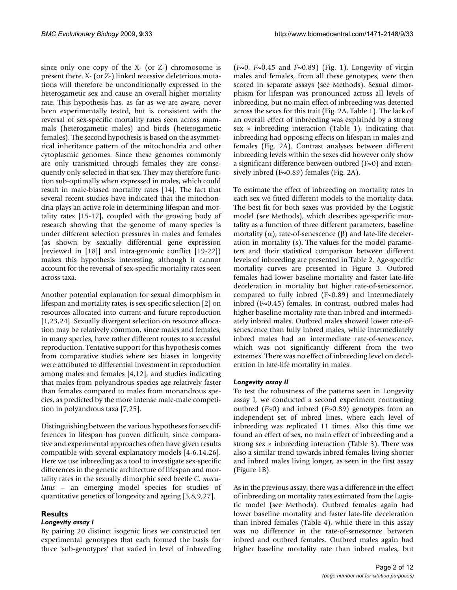since only one copy of the X- (or Z-) chromosome is present there. X- (or Z-) linked recessive deleterious mutations will therefore be unconditionally expressed in the heterogametic sex and cause an overall higher mortality rate. This hypothesis has, as far as we are aware, never been experimentally tested, but is consistent with the reversal of sex-specific mortality rates seen across mammals (heterogametic males) and birds (heterogametic females). The second hypothesis is based on the asymmetrical inheritance pattern of the mitochondria and other cytoplasmic genomes. Since these genomes commonly are only transmitted through females they are consequently only selected in that sex. They may therefore function sub-optimally when expressed in males, which could result in male-biased mortality rates [\[14\]](#page-10-12). The fact that several recent studies have indicated that the mitochondria plays an active role in determining lifespan and mortality rates [\[15](#page-10-13)[-17\]](#page-10-14), coupled with the growing body of research showing that the genome of many species is under different selection pressures in males and females (as shown by sexually differential gene expression [reviewed in [\[18](#page-10-15)]] and intra-genomic conflict [[19-](#page-10-16)[22\]](#page-10-17)) makes this hypothesis interesting, although it cannot account for the reversal of sex-specific mortality rates seen across taxa.

Another potential explanation for sexual dimorphism in lifespan and mortality rates, is sex-specific selection [[2](#page-10-2)] on resources allocated into current and future reproduction [[1](#page-10-0)[,23](#page-10-18),[24\]](#page-10-19). Sexually divergent selection on resource allocation may be relatively common, since males and females, in many species, have rather different routes to successful reproduction. Tentative support for this hypothesis comes from comparative studies where sex biases in longevity were attributed to differential investment in reproduction among males and females [[4](#page-10-8),[12\]](#page-10-9), and studies indicating that males from polyandrous species age relatively faster than females compared to males from monandrous species, as predicted by the more intense male-male competition in polyandrous taxa [[7](#page-10-4),[25](#page-10-20)].

Distinguishing between the various hypotheses for sex differences in lifespan has proven difficult, since comparative and experimental approaches often have given results compatible with several explanatory models [[4-](#page-10-8)[6](#page-10-1),[14](#page-10-12)[,26](#page-10-21)]. Here we use inbreeding as a tool to investigate sex-specific differences in the genetic architecture of lifespan and mortality rates in the sexually dimorphic seed beetle *C. maculatus* – an emerging model species for studies of quantitative genetics of longevity and ageing [\[5,](#page-10-3)[8](#page-10-22)[,9](#page-10-5),[27\]](#page-10-23).

### **Results**

#### *Longevity assay I*

By pairing 20 distinct isogenic lines we constructed ten experimental genotypes that each formed the basis for three 'sub-genotypes' that varied in level of inbreeding  $(F<sub>0</sub>, F<sub>0</sub>, 45$  and  $F<sub>0</sub>, 89$  (Fig. [1](#page-2-0)). Longevity of virgin males and females, from all these genotypes, were then scored in separate assays (see Methods). Sexual dimorphism for lifespan was pronounced across all levels of inbreeding, but no main effect of inbreeding was detected across the sexes for this trait (Fig. [2](#page-3-0)A, Table [1\)](#page-4-0). The lack of an overall effect of inbreeding was explained by a strong sex  $\times$  inbreeding interaction (Table [1\)](#page-4-0), indicating that inbreeding had opposing effects on lifespan in males and females (Fig. [2](#page-3-0)A). Contrast analyses between different inbreeding levels within the sexes did however only show a significant difference between outbred  $(F\sim 0)$  and extensively inbred ( $F~0.89$ ) females (Fig. [2](#page-3-0)A).

To estimate the effect of inbreeding on mortality rates in each sex we fitted different models to the mortality data. The best fit for both sexes was provided by the Logistic model (see Methods), which describes age-specific mortality as a function of three different parameters, baseline mortality ( $\alpha$ ), rate-of-senescence ( $\beta$ ) and late-life deceleration in mortality (s). The values for the model parameters and their statistical comparison between different levels of inbreeding are presented in Table [2](#page-4-1). Age-specific mortality curves are presented in Figure [3.](#page-5-0) Outbred females had lower baseline mortality and faster late-life deceleration in mortality but higher rate-of-senescence, compared to fully inbred (F~0.89) and intermediately inbred ( $F~0.45$ ) females. In contrast, outbred males had higher baseline mortality rate than inbred and intermediately inbred males. Outbred males showed lower rate-ofsenescence than fully inbred males, while intermediately inbred males had an intermediate rate-of-senescence, which was not significantly different from the two extremes. There was no effect of inbreeding level on deceleration in late-life mortality in males.

#### *Longevity assay II*

To test the robustness of the patterns seen in Longevity assay I, we conducted a second experiment contrasting outbred  $(F\sim 0)$  and inbred  $(F\sim 0.89)$  genotypes from an independent set of inbred lines, where each level of inbreeding was replicated 11 times. Also this time we found an effect of sex, no main effect of inbreeding and a strong sex  $\times$  inbreeding interaction (Table [3\)](#page-6-0). There was also a similar trend towards inbred females living shorter and inbred males living longer, as seen in the first assay (Figure [1B](#page-2-0)).

As in the previous assay, there was a difference in the effect of inbreeding on mortality rates estimated from the Logistic model (see Methods). Outbred females again had lower baseline mortality and faster late-life deceleration than inbred females (Table [4](#page-8-0)), while there in this assay was no difference in the rate-of-senescence between inbred and outbred females. Outbred males again had higher baseline mortality rate than inbred males, but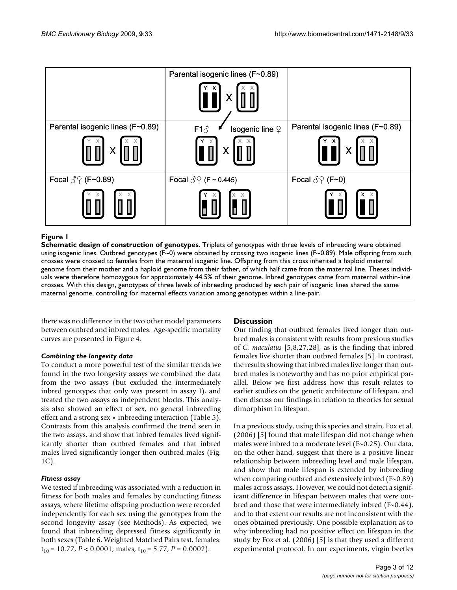<span id="page-2-0"></span>

**Schematic design of construction of genotypes**. Triplets of genotypes with three levels of inbreeding were obtained using isogenic lines. Outbred genotypes (F~0) were obtained by crossing two isogenic lines (F~0.89). Male offspring from such crosses were crossed to females from the maternal isogenic line. Offspring from this cross inherited a haploid maternal genome from their mother and a haploid genome from their father, of which half came from the maternal line. Theses individuals were therefore homozygous for approximately 44.5% of their genome. Inbred genotypes came from maternal within-line crosses. With this design, genotypes of three levels of inbreeding produced by each pair of isogenic lines shared the same maternal genome, controlling for maternal effects variation among genotypes within a line-pair.

there was no difference in the two other model parameters between outbred and inbred males. Age-specific mortality curves are presented in Figure [4](#page-7-0).

### *Combining the longevity data*

To conduct a more powerful test of the similar trends we found in the two longevity assays we combined the data from the two assays (but excluded the intermediately inbred genotypes that only was present in assay I), and treated the two assays as independent blocks. This analysis also showed an effect of sex, no general inbreeding effect and a strong sex × inbreeding interaction (Table [5\)](#page-8-1). Contrasts from this analysis confirmed the trend seen in the two assays, and show that inbred females lived significantly shorter than outbred females and that inbred males lived significantly longer then outbred males (Fig. [1C](#page-2-0)).

### *Fitness assay*

We tested if inbreeding was associated with a reduction in fitness for both males and females by conducting fitness assays, where lifetime offspring production were recorded independently for each sex using the genotypes from the second longevity assay (see Methods). As expected, we found that inbreeding depressed fitness significantly in both sexes (Table [6,](#page-9-0) Weighted Matched Pairs test, females:  $t_{10}$  = 10.77, *P* < 0.0001; males,  $t_{10}$  = 5.77, *P* = 0.0002).

### **Discussion**

Our finding that outbred females lived longer than outbred males is consistent with results from previous studies of *C. maculatus* [\[5](#page-10-3)[,8](#page-10-22)[,27](#page-10-23),[28](#page-10-24)], as is the finding that inbred females live shorter than outbred females [[5](#page-10-3)]. In contrast, the results showing that inbred males live longer than outbred males is noteworthy and has no prior empirical parallel. Below we first address how this result relates to earlier studies on the genetic architecture of lifespan, and then discuss our findings in relation to theories for sexual dimorphism in lifespan.

In a previous study, using this species and strain, Fox et al. (2006) [\[5\]](#page-10-3) found that male lifespan did not change when males were inbred to a moderate level (F~0.25). Our data, on the other hand, suggest that there is a positive linear relationship between inbreeding level and male lifespan, and show that male lifespan is extended by inbreeding when comparing outbred and extensively inbred ( $F~0.89$ ) males across assays. However, we could not detect a significant difference in lifespan between males that were outbred and those that were intermediately inbred  $(F\sim 0.44)$ , and to that extent our results are not inconsistent with the ones obtained previously. One possible explanation as to why inbreeding had no positive effect on lifespan in the study by Fox et al. (2006) [[5](#page-10-3)] is that they used a different experimental protocol. In our experiments, virgin beetles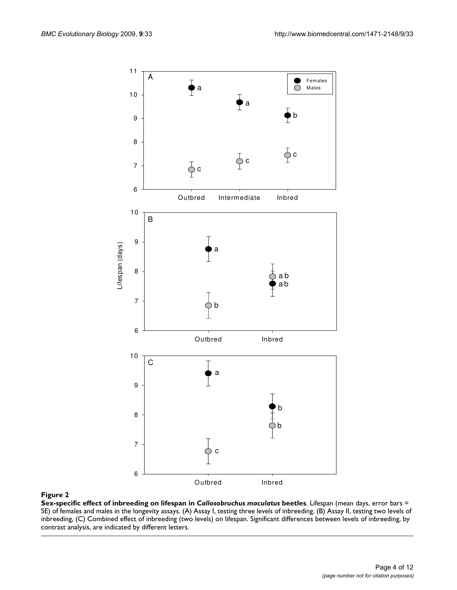<span id="page-3-0"></span>

**Sex-specific effect of inbreeding on lifespan in** *Callosobruchus maculatus* **beetles**. Lifespan (mean days, error bars = SE) of females and males in the longevity assays. (A) Assay I, testing three levels of inbreeding. (B) Assay II, testing two levels of inbreeding, (C) Combined effect of inbreeding (two levels) on lifespan. Significant differences between levels of inbreeding, by contrast analysis, are indicated by different letters.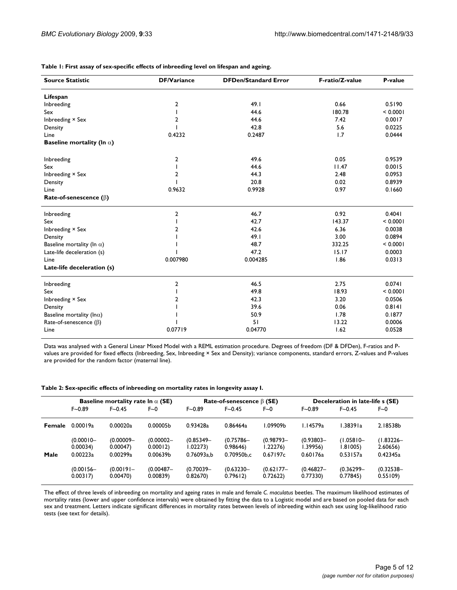| <b>Source Statistic</b>            | <b>DF/Variance</b> | <b>DFDen/Standard Error</b><br>F-ratio/Z-value |        | P-value  |  |
|------------------------------------|--------------------|------------------------------------------------|--------|----------|--|
| Lifespan                           |                    |                                                |        |          |  |
| Inbreeding                         | 2                  | 49.1                                           | 0.66   | 0.5190   |  |
| Sex                                |                    | 44.6                                           | 180.78 | < 0.0001 |  |
| Inbreeding × Sex                   | $\overline{2}$     | 44.6                                           | 7.42   | 0.0017   |  |
| Density                            |                    | 42.8                                           | 5.6    | 0.0225   |  |
| Line                               | 0.4232             | 0.2487                                         | 1.7    | 0.0444   |  |
| Baseline mortality (In $\alpha$ )  |                    |                                                |        |          |  |
| Inbreeding                         | $\overline{2}$     | 49.6                                           | 0.05   | 0.9539   |  |
| Sex                                |                    | 44.6                                           | 11.47  | 0.0015   |  |
| Inbreeding × Sex                   | 2                  | 44.3                                           | 2.48   | 0.0953   |  |
| Density                            |                    | 20.8                                           | 0.02   | 0.8939   |  |
| Line                               | 0.9632             | 0.9928                                         | 0.97   | 0.1660   |  |
| Rate-of-senescence $(\beta)$       |                    |                                                |        |          |  |
| Inbreeding                         | $\overline{2}$     | 46.7                                           | 0.92   | 0.4041   |  |
| Sex                                |                    | 42.7                                           | 143.37 | < 0.0001 |  |
| Inbreeding × Sex                   | 2                  | 42.6                                           | 6.36   | 0.0038   |  |
| Density                            |                    | 49.1                                           | 3.00   | 0.0894   |  |
| Baseline mortality (In $\alpha$ )  |                    | 48.7                                           | 332.25 | < 0.0001 |  |
| Late-life deceleration (s)         |                    | 47.2                                           | 15.17  | 0.0003   |  |
| Line                               | 0.007980           | 0.004285                                       | 1.86   | 0.0313   |  |
| Late-life deceleration (s)         |                    |                                                |        |          |  |
| Inbreeding                         | 2                  | 46.5                                           | 2.75   | 0.0741   |  |
| Sex                                |                    | 49.8                                           | 18.93  | < 0.0001 |  |
| Inbreeding × Sex                   | 2                  | 42.3                                           | 3.20   | 0.0506   |  |
| Density                            |                    | 39.6                                           | 0.06   | 0.8141   |  |
| Baseline mortality ( $ln \alpha$ ) |                    | 50.9                                           | 1.78   | 0.1877   |  |
| Rate-of-senescence $(\beta)$       |                    | 51                                             | 13.22  | 0.0006   |  |
| Line                               | 0.07719            | 0.04770                                        | 1.62   | 0.0528   |  |
|                                    |                    |                                                |        |          |  |

#### <span id="page-4-0"></span>**Table 1: First assay of sex-specific effects of inbreeding level on lifespan and ageing.**

Data was analysed with a General Linear Mixed Model with a REML estimation procedure. Degrees of freedom (DF & DFDen), F-ratios and Pvalues are provided for fixed effects (Inbreeding, Sex, Inbreeding × Sex and Density); variance components, standard errors, Z-values and P-values are provided for the random factor (maternal line).

<span id="page-4-1"></span>**Table 2: Sex-specific effects of inbreeding on mortality rates in longevity assay I.**

|        |                                      | <b>Baseline mortality rate In <math>\alpha</math> (SE)</b> |                                     |                                        | Rate-of-senescence $\beta$ (SE)       |                                      |                                      | Deceleration in late-life s (SE)  |                                      |
|--------|--------------------------------------|------------------------------------------------------------|-------------------------------------|----------------------------------------|---------------------------------------|--------------------------------------|--------------------------------------|-----------------------------------|--------------------------------------|
|        | F~0.89                               | $F \sim 0.45$                                              | $F\sim 0$                           | F~0.89                                 | F~0.45                                | F~0                                  | F~0.89                               | F~0.45                            | F~0                                  |
| Female | 0.00019a                             | 0.00020a                                                   | 0.00005b                            | 0.93428a                               | 0.86464a                              | L09909b                              | I.14579a                             | 1.3839 I a                        | 2.18538b                             |
| Male   | $(0.00010 -$<br>0.00034)<br>0.00223a | $(0.00009 -$<br>0.00047<br>0.00299a                        | $(0.00002 -$<br>0.00012<br>0.00639b | $(0.85349 -$<br>l.02273)<br>0.76093a.b | $(0.75786 -$<br>0.98646<br>0.70950b.c | $(0.98793 -$<br>1.22276)<br>0.67197c | $(0.93803 -$<br>1.39956)<br>0.60176a | (1.05810-<br>1.81005)<br>0.53157a | $(1.83226 -$<br>2.60656)<br>0.42345a |
|        | $(0.00156 -$<br>0.00317              | $(0.00191 -$<br>0.00470)                                   | $(0.00487 -$<br>0.00839             | $(0.70039 -$<br>0.82670                | $(0.63230 -$<br>0.79612               | $(0.62177 -$<br>0.72622              | $(0.46827 -$<br>0.77330)             | $(0.36299 -$<br>0.77845           | $(0.32538 -$<br>0.55109              |

The effect of three levels of inbreeding on mortality and ageing rates in male and female *C. maculatus* beetles. The maximum likelihood estimates of mortality rates (lower and upper confidence intervals) were obtained by fitting the data to a Logistic model and are based on pooled data for each sex and treatment. Letters indicate significant differences in mortality rates between levels of inbreeding within each sex using log-likelihood ratio tests (see text for details).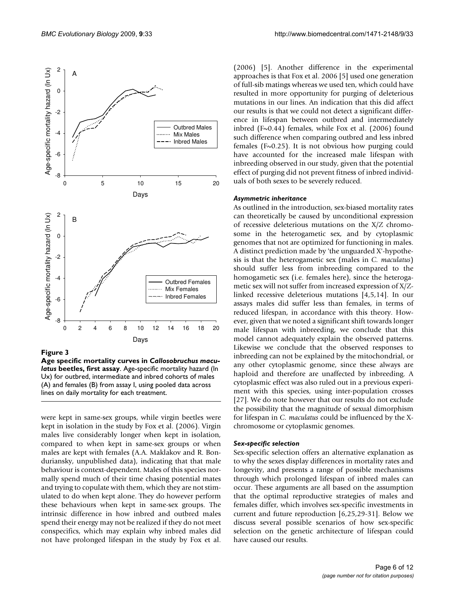<span id="page-5-0"></span>

**Age specific mortality curves in** *Callosobruchus maculatus* **beetles, first assay**. Age-specific mortality hazard (ln Ux) for outbred, intermediate and inbred cohorts of males (A) and females (B) from assay I, using pooled data across lines on daily mortality for each treatment.

were kept in same-sex groups, while virgin beetles were kept in isolation in the study by Fox et al. (2006). Virgin males live considerably longer when kept in isolation, compared to when kept in same-sex groups or when males are kept with females (A.A. Maklakov and R. Bonduriansky, unpublished data), indicating that that male behaviour is context-dependent. Males of this species normally spend much of their time chasing potential mates and trying to copulate with them, which they are not stimulated to do when kept alone. They do however perform these behaviours when kept in same-sex groups. The intrinsic difference in how inbred and outbred males spend their energy may not be realized if they do not meet conspecifics, which may explain why inbred males did not have prolonged lifespan in the study by Fox et al.

(2006) [\[5\]](#page-10-3). Another difference in the experimental approaches is that Fox et al. 2006 [[5](#page-10-3)] used one generation of full-sib matings whereas we used ten, which could have resulted in more opportunity for purging of deleterious mutations in our lines. An indication that this did affect our results is that we could not detect a significant difference in lifespan between outbred and intermediately inbred ( $F~0.44$ ) females, while Fox et al. (2006) found such difference when comparing outbred and less inbred females ( $F\sim 0.25$ ). It is not obvious how purging could have accounted for the increased male lifespan with inbreeding observed in our study, given that the potential effect of purging did not prevent fitness of inbred individuals of both sexes to be severely reduced.

#### *Asymmetric inheritance*

As outlined in the introduction, sex-biased mortality rates can theoretically be caused by unconditional expression of recessive deleterious mutations on the X/Z chromosome in the heterogametic sex, and by cytoplasmic genomes that not are optimized for functioning in males. A distinct prediction made by 'the unguarded X'-hypothesis is that the heterogametic sex (males in *C. maculatus*) should suffer less from inbreeding compared to the homogametic sex (i.e. females here), since the heterogametic sex will not suffer from increased expression of X/Zlinked recessive deleterious mutations [\[4,](#page-10-8)[5](#page-10-3),[14\]](#page-10-12). In our assays males did suffer less than females, in terms of reduced lifespan, in accordance with this theory. However, given that we noted a significant shift towards longer male lifespan with inbreeding, we conclude that this model cannot adequately explain the observed patterns. Likewise we conclude that the observed responses to inbreeding can not be explained by the mitochondrial, or any other cytoplasmic genome, since these always are haploid and therefore are unaffected by inbreeding. A cytoplasmic effect was also ruled out in a previous experiment with this species, using inter-population crosses [[27](#page-10-23)]. We do note however that our results do not exclude the possibility that the magnitude of sexual dimorphism for lifespan in *C. maculatus* could be influenced by the Xchromosome or cytoplasmic genomes.

#### *Sex-specific selection*

Sex-specific selection offers an alternative explanation as to why the sexes display differences in mortality rates and longevity, and presents a range of possible mechanisms through which prolonged lifespan of inbred males can occur. These arguments are all based on the assumption that the optimal reproductive strategies of males and females differ, which involves sex-specific investments in current and future reproduction [\[6,](#page-10-1)[25,](#page-10-20)[29](#page-10-25)[-31](#page-10-26)]. Below we discuss several possible scenarios of how sex-specific selection on the genetic architecture of lifespan could have caused our results.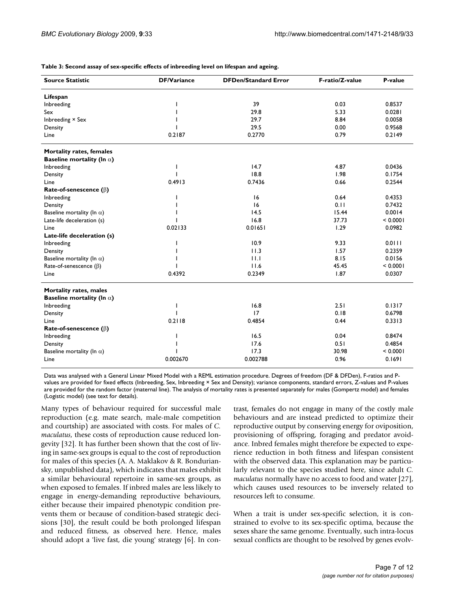| <b>Source Statistic</b>           | <b>DF/Variance</b> | <b>DFDen/Standard Error</b> | F-ratio/Z-value | P-value  |
|-----------------------------------|--------------------|-----------------------------|-----------------|----------|
| Lifespan                          |                    |                             |                 |          |
| Inbreeding                        |                    | 39                          | 0.03            | 0.8537   |
| Sex                               |                    | 29.8                        | 5.33            | 0.0281   |
| Inbreeding × Sex                  |                    | 29.7                        | 8.84            | 0.0058   |
| Density                           |                    | 29.5                        | 0.00            | 0.9568   |
| Line                              | 0.2187             | 0.2770                      | 0.79            | 0.2149   |
| Mortality rates, females          |                    |                             |                 |          |
| Baseline mortality (In $\alpha$ ) |                    |                             |                 |          |
| Inbreeding                        |                    | 14.7                        | 4.87            | 0.0436   |
| Density                           |                    | 18.8                        | 1.98            | 0.1754   |
| Line                              | 0.4913             | 0.7436                      | 0.66            | 0.2544   |
| Rate-of-senescence $(\beta)$      |                    |                             |                 |          |
| Inbreeding                        |                    | 16                          | 0.64            | 0.4353   |
| Density                           |                    | 16                          | 0.11            | 0.7432   |
| Baseline mortality (ln $\alpha$ ) |                    | 14.5                        | 15.44           | 0.0014   |
| Late-life deceleration (s)        |                    | 16.8                        | 37.73           | < 0.0001 |
| Line                              | 0.02133            | 0.01651                     | 1.29            | 0.0982   |
| Late-life deceleration (s)        |                    |                             |                 |          |
| Inbreeding                        |                    | 10.9                        | 9.33            | 0.0111   |
| Density                           |                    | 11.3                        | 1.57            | 0.2359   |
| Baseline mortality (In $\alpha$ ) |                    | 11.1                        | 8.15            | 0.0156   |
| Rate-of-senescence $(\beta)$      |                    | 11.6                        | 45.45           | < 0.0001 |
| Line                              | 0.4392             | 0.2349                      | 1.87            | 0.0307   |
| <b>Mortality rates, males</b>     |                    |                             |                 |          |
| Baseline mortality (In $\alpha$ ) |                    |                             |                 |          |
| Inbreeding                        |                    | 16.8                        | 2.51            | 0.1317   |
| Density                           |                    | 17                          | 0.18            | 0.6798   |
| Line                              | 0.2118             | 0.4854                      | 0.44            | 0.3313   |
| Rate-of-senescence $(\beta)$      |                    |                             |                 |          |
| Inbreeding                        |                    | 16.5                        | 0.04            | 0.8474   |
| Density                           |                    | 17.6                        | 0.51            | 0.4854   |
| Baseline mortality (ln $\alpha$ ) |                    | 17.3                        | 30.98           | < 0.0001 |
| Line                              | 0.002670           | 0.002788                    | 0.96            | 0.1691   |

<span id="page-6-0"></span>**Table 3: Second assay of sex-specific effects of inbreeding level on lifespan and ageing.**

Data was analysed with a General Linear Mixed Model with a REML estimation procedure. Degrees of freedom (DF & DFDen), F-ratios and Pvalues are provided for fixed effects (Inbreeding, Sex, Inbreeding × Sex and Density); variance components, standard errors, Z-values and P-values are provided for the random factor (maternal line). The analysis of mortality rates is presented separately for males (Gompertz model) and females (Logistic model) (see text for details).

Many types of behaviour required for successful male reproduction (e.g. mate search, male-male competition and courtship) are associated with costs. For males of *C. maculatus*, these costs of reproduction cause reduced longevity [[32\]](#page-10-27). It has further been shown that the cost of living in same-sex groups is equal to the cost of reproduction for males of this species (A. A. Maklakov & R. Bonduriansky, unpublished data), which indicates that males exhibit a similar behavioural repertoire in same-sex groups, as when exposed to females. If inbred males are less likely to engage in energy-demanding reproductive behaviours, either because their impaired phenotypic condition prevents them or because of condition-based strategic decisions [\[30](#page-10-28)], the result could be both prolonged lifespan and reduced fitness, as observed here. Hence, males should adopt a 'live fast, die young' strategy [[6](#page-10-1)]. In contrast, females do not engage in many of the costly male behaviours and are instead predicted to optimize their reproductive output by conserving energy for oviposition, provisioning of offspring, foraging and predator avoidance. Inbred females might therefore be expected to experience reduction in both fitness and lifespan consistent with the observed data. This explanation may be particularly relevant to the species studied here, since adult *C. maculatus* normally have no access to food and water [\[27](#page-10-23)], which causes used resources to be inversely related to resources left to consume.

When a trait is under sex-specific selection, it is constrained to evolve to its sex-specific optima, because the sexes share the same genome. Eventually, such intra-locus sexual conflicts are thought to be resolved by genes evolv-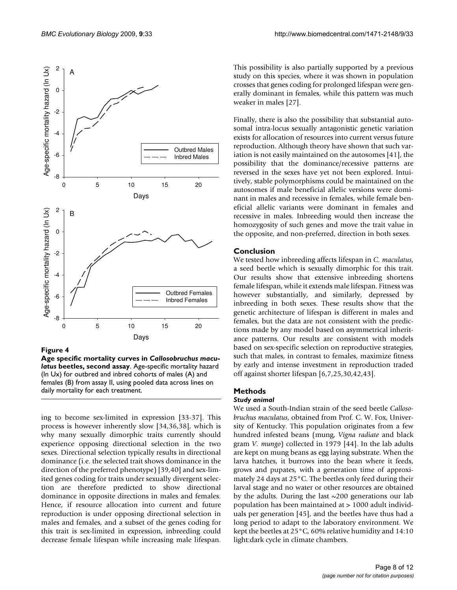<span id="page-7-0"></span>

**Age specific mortality curves in** *Callosobruchus maculatus* **beetles, second assay**. Age-specific mortality hazard (ln Ux) for outbred and inbred cohorts of males (A) and females (B) from assay II, using pooled data across lines on daily mortality for each treatment.

ing to become sex-limited in expression [[33-](#page-11-0)[37](#page-11-1)]. This process is however inherently slow [[34,](#page-11-2)[36](#page-11-3),[38](#page-11-4)], which is why many sexually dimorphic traits currently should experience opposing directional selection in the two sexes. Directional selection typically results in directional dominance (i.e. the selected trait shows dominance in the direction of the preferred phenotype) [\[39](#page-11-5),[40](#page-11-6)] and sex-limited genes coding for traits under sexually divergent selection are therefore predicted to show directional dominance in opposite directions in males and females. Hence, if resource allocation into current and future reproduction is under opposing directional selection in males and females, and a subset of the genes coding for this trait is sex-limited in expression, inbreeding could decrease female lifespan while increasing male lifespan.

This possibility is also partially supported by a previous study on this species, where it was shown in population crosses that genes coding for prolonged lifespan were generally dominant in females, while this pattern was much weaker in males [[27](#page-10-23)].

Finally, there is also the possibility that substantial autosomal intra-locus sexually antagonistic genetic variation exists for allocation of resources into current versus future reproduction. Although theory have shown that such variation is not easily maintained on the autosomes [[41\]](#page-11-7), the possibility that the dominance/recessive patterns are reversed in the sexes have yet not been explored. Intuitively, stable polymorphisms could be maintained on the autosomes if male beneficial allelic versions were dominant in males and recessive in females, while female beneficial allelic variants were dominant in females and recessive in males. Inbreeding would then increase the homozygosity of such genes and move the trait value in the opposite, and non-preferred, direction in both sexes.

#### **Conclusion**

We tested how inbreeding affects lifespan in *C. maculatus*, a seed beetle which is sexually dimorphic for this trait. Our results show that extensive inbreeding shortens female lifespan, while it extends male lifespan. Fitness was however substantially, and similarly, depressed by inbreeding in both sexes. These results show that the genetic architecture of lifespan is different in males and females, but the data are not consistent with the predictions made by any model based on asymmetrical inheritance patterns. Our results are consistent with models based on sex-specific selection on reproductive strategies, such that males, in contrast to females, maximize fitness by early and intense investment in reproduction traded off against shorter lifespan [[6](#page-10-1),[7,](#page-10-4)[25](#page-10-20),[30,](#page-10-28)[42](#page-11-8),[43](#page-11-9)].

#### **Methods**

#### *Study animal*

We used a South-Indian strain of the seed beetle *Callosobruchus maculatus*, obtained from Prof. C. W. Fox, University of Kentucky. This population originates from a few hundred infested beans (mung, *Vigna radiate* and black gram *V. mungo*) collected in 1979 [[44\]](#page-11-10). In the lab adults are kept on mung beans as egg laying substrate. When the larva hatches, it burrows into the bean where it feeds, grows and pupates, with a generation time of approximately 24 days at 25°C. The beetles only feed during their larval stage and no water or other resources are obtained by the adults. During the last  $\sim$  200 generations our lab population has been maintained at > 1000 adult individuals per generation [\[45](#page-11-11)], and the beetles have thus had a long period to adapt to the laboratory environment. We kept the beetles at 25°C, 60% relative humidity and 14:10 light:dark cycle in climate chambers.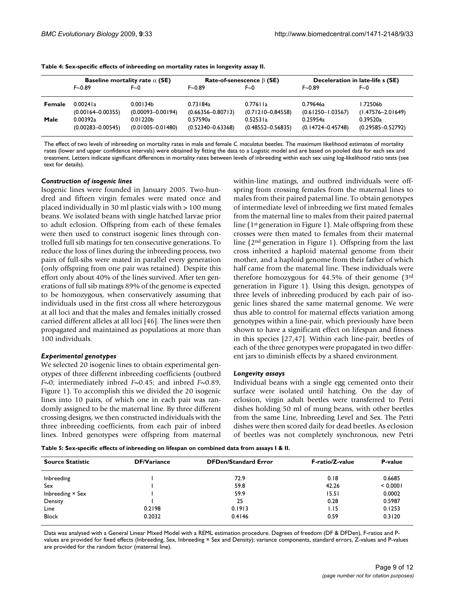|        | Baseline mortality rate $\alpha$ (SE) |                                               | Rate-of-senescence $\beta$ (SE)   |                                   | Deceleration in late-life s (SE)  |                                   |
|--------|---------------------------------------|-----------------------------------------------|-----------------------------------|-----------------------------------|-----------------------------------|-----------------------------------|
|        | F~0.89                                | $F\sim 0$                                     | F~0.89                            | $F\sim 0$                         | F~0.89                            | $F\sim 0$                         |
| Female | 0.00241a                              | 0.00134 <sub>b</sub>                          | 0.73184a                          | 0.77611a                          | 0.79646a                          | I.72506b                          |
|        | $(0.00164 - 0.00355)$                 | $(0.00093 - 0.00194)$                         | $(0.66356 - 0.80713)$             | $(0.71210 - 0.84558)$             | $(0.61250 - 1.03567)$             | $(1.47576 - 2.01649)$             |
| Male   | 0.00392a<br>$(0.00283 - 0.00545)$     | 0.01220 <sub>b</sub><br>$(0.01005 - 0.01480)$ | 0.57590a<br>$(0.52340 - 0.63368)$ | 0.52531a<br>$(0.48552 - 0.56835)$ | 0.25954a<br>$(0.14724 - 0.45748)$ | 0.39520a<br>$(0.29585 - 0.52792)$ |

#### <span id="page-8-0"></span>**Table 4: Sex-specific effects of inbreeding on mortality rates in longevity assay II.**

The effect of two levels of inbreeding on mortality rates in male and female *C. maculatus* beetles. The maximum likelihood estimates of mortality rates (lower and upper confidence intervals) were obtained by fitting the data to a Logistic model and are based on pooled data for each sex and treatment. Letters indicate significant differences in mortality rates between levels of inbreeding within each sex using log-likelihood ratio tests (see text for details).

#### *Construction of isogenic lines*

Isogenic lines were founded in January 2005. Two-hundred and fifteen virgin females were mated once and placed individually in 30 ml plastic vials with > 100 mung beans. We isolated beans with single hatched larvae prior to adult eclosion. Offspring from each of these females were then used to construct isogenic lines through controlled full sib matings for ten consecutive generations. To reduce the loss of lines during the inbreeding process, two pairs of full-sibs were mated in parallel every generation (only offspring from one pair was retained). Despite this effort only about 40% of the lines survived. After ten generations of full sib matings 89% of the genome is expected to be homozygous, when conservatively assuming that individuals used in the first cross all where heterozygous at all loci and that the males and females initially crossed carried different alleles at all loci [\[46](#page-11-12)]. The lines were then propagated and maintained as populations at more than 100 individuals.

#### *Experimental genotypes*

We selected 20 isogenic lines to obtain experimental genotypes of three different inbreeding coefficients (outbred *F*~0; intermediately inbred *F*~0.45; and inbred *F*~0.89, Figure [1](#page-2-0)). To accomplish this we divided the 20 isogenic lines into 10 pairs, of which one in each pair was randomly assigned to be the maternal line. By three different crossing designs, we then constructed individuals with the three inbreeding coefficients, from each pair of inbred lines. Inbred genotypes were offspring from maternal

within-line matings, and outbred individuals were offspring from crossing females from the maternal lines to males from their paired paternal line. To obtain genotypes of intermediate level of inbreeding we first mated females from the maternal line to males from their paired paternal line (1<sup>st</sup> generation in Figure [1](#page-2-0)). Male offspring from these crosses were then mated to females from their maternal line (2nd generation in Figure [1](#page-2-0)). Offspring from the last cross inherited a haploid maternal genome from their mother, and a haploid genome from their father of which half came from the maternal line. These individuals were therefore homozygous for 44.5% of their genome (3rd generation in Figure [1\)](#page-2-0). Using this design, genotypes of three levels of inbreeding produced by each pair of isogenic lines shared the same maternal genome. We were thus able to control for maternal effects variation among genotypes within a line-pair, which previously have been shown to have a significant effect on lifespan and fitness in this species [\[27](#page-10-23)[,47](#page-11-13)]. Within each line-pair, beetles of each of the three genotypes were propagated in two different jars to diminish effects by a shared environment.

#### *Longevity assays*

Individual beans with a single egg cemented onto their surface were isolated until hatching. On the day of eclosion, virgin adult beetles were transferred to Petri dishes holding 50 ml of mung beans, with other beetles from the same Line, Inbreeding Level and Sex. The Petri dishes were then scored daily for dead beetles. As eclosion of beetles was not completely synchronous, new Petri

<span id="page-8-1"></span>**Table 5: Sex-specific effects of inbreeding on lifespan on combined data from assays I & II.**

| <b>Source Statistic</b> | <b>DF/Variance</b> | <b>DFDen/Standard Error</b> | F-ratio/Z-value | P-value  |
|-------------------------|--------------------|-----------------------------|-----------------|----------|
| Inbreeding              |                    | 72.9                        | 0.18            | 0.6685   |
| Sex                     |                    | 59.8                        | 42.26           | < 0.0001 |
| Inbreeding × Sex        |                    | 59.9                        | 15.51           | 0.0002   |
| Density                 |                    | 25                          | 0.28            | 0.5987   |
| Line                    | 0.2198             | 0.1913                      | 1.15            | 0.1253   |
| <b>Block</b>            | 0.2032             | 0.4146                      | 0.59            | 0.3120   |

Data was analysed with a General Linear Mixed Model with a REML estimation procedure. Degrees of freedom (DF & DFDen), F-ratios and Pvalues are provided for fixed effects (Inbreeding, Sex, Inbreeding × Sex and Density); variance components, standard errors, Z-values and P-values are provided for the random factor (maternal line).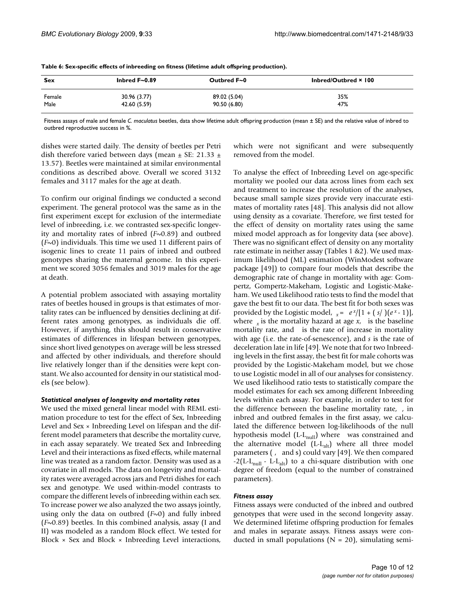| Sex    | Inbred $F \sim 0.89$ | Outbred $F~0$ | Inbred/Outbred × 100 |
|--------|----------------------|---------------|----------------------|
| Female | 30.96 (3.77)         | 89.02 (5.04)  | 35%                  |
| Male   | 42.60 (5.59)         | 90.50 (6.80)  | 47%                  |

<span id="page-9-0"></span>**Table 6: Sex-specific effects of inbreeding on fitness (lifetime adult offspring production).**

Fitness assays of male and female *C. maculatus* beetles, data show lifetime adult offspring production (mean ± SE) and the relative value of inbred to outbred reproductive success in %.

dishes were started daily. The density of beetles per Petri dish therefore varied between days (mean  $\pm$  SE: 21.33  $\pm$ 13.57). Beetles were maintained at similar environmental conditions as described above. Overall we scored 3132 females and 3117 males for the age at death.

To confirm our original findings we conducted a second experiment. The general protocol was the same as in the first experiment except for exclusion of the intermediate level of inbreeding, i.e. we contrasted sex-specific longevity and mortality rates of inbred (*F*~0.89) and outbred (*F*~0) individuals. This time we used 11 different pairs of isogenic lines to create 11 pairs of inbred and outbred genotypes sharing the maternal genome. In this experiment we scored 3056 females and 3019 males for the age at death.

A potential problem associated with assaying mortality rates of beetles housed in groups is that estimates of mortality rates can be influenced by densities declining at different rates among genotypes, as individuals die off. However, if anything, this should result in conservative estimates of differences in lifespan between genotypes, since short lived genotypes on average will be less stressed and affected by other individuals, and therefore should live relatively longer than if the densities were kept constant. We also accounted for density in our statistical models (see below).

#### *Statistical analyses of longevity and mortality rates*

We used the mixed general linear model with REML estimation procedure to test for the effect of Sex, Inbreeding Level and Sex × Inbreeding Level on lifespan and the different model parameters that describe the mortality curve, in each assay separately. We treated Sex and Inbreeding Level and their interactions as fixed effects, while maternal line was treated as a random factor. Density was used as a covariate in all models. The data on longevity and mortality rates were averaged across jars and Petri dishes for each sex and genotype. We used within-model contrasts to compare the different levels of inbreeding within each sex. To increase power we also analyzed the two assays jointly, using only the data on outbred  $(F\sim 0)$  and fully inbred (*F*~0.89) beetles. In this combined analysis, assay (I and II) was modeled as a random Block effect. We tested for Block  $\times$  Sex and Block  $\times$  Inbreeding Level interactions,

which were not significant and were subsequently removed from the model.

To analyse the effect of Inbreeding Level on age-specific mortality we pooled our data across lines from each sex and treatment to increase the resolution of the analyses, because small sample sizes provide very inaccurate estimates of mortality rates [\[48\]](#page-11-14). This analysis did not allow using density as a covariate. Therefore, we first tested for the effect of density on mortality rates using the same mixed model approach as for longevity data (see above). There was no significant effect of density on any mortality rate estimate in neither assay (Tables [1](#page-4-0) &[2](#page-4-1)). We used maximum likelihood (ML) estimation (WinModest software package [\[49](#page-11-15)]) to compare four models that describe the demographic rate of change in mortality with age: Gompertz, Gompertz-Makeham, Logistic and Logistic-Makeham. We used Likelihood ratio tests to find the model that gave the best fit to our data. The best fit for both sexes was provided by the Logistic model,  $x = e^x/[1 + (s/(e^x - 1))]$ , where  $\bar{x}$  is the mortality hazard at age  $\bar{x}$ , is the baseline mortality rate, and is the rate of increase in mortality with age (i.e. the rate-of-senescence), and *s* is the rate of deceleration late in life [[49\]](#page-11-15). We note that for two Inbreeding levels in the first assay, the best fit for male cohorts was provided by the Logistic-Makeham model, but we chose to use Logistic model in all of our analyses for consistency. We used likelihood ratio tests to statistically compare the model estimates for each sex among different Inbreeding levels within each assay. For example, in order to test for the difference between the baseline mortality rate, , in inbred and outbred females in the first assay, we calculated the difference between log-likelihoods of the null hypothesis model (L-L<sub>null</sub>) where was constrained and the alternative model (L-L<sub>alt</sub>) where all three model parameters ( , and s) could vary [[49](#page-11-15)]. We then compared  $-2(L-L_{null} - L-L_{alt})$  to a chi-square distribution with one degree of freedom (equal to the number of constrained parameters).

#### *Fitness assay*

Fitness assays were conducted of the inbred and outbred genotypes that were used in the second longevity assay. We determined lifetime offspring production for females and males in separate assays. Fitness assays were conducted in small populations ( $N = 20$ ), simulating semi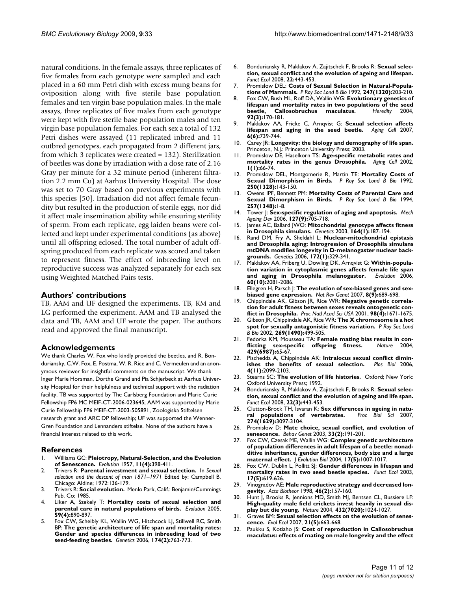natural conditions. In the female assays, three replicates of five females from each genotype were sampled and each placed in a 60 mm Petri dish with excess mung beans for oviposition along with five sterile base population females and ten virgin base population males. In the male assays, three replicates of five males from each genotype were kept with five sterile base population males and ten virgin base population females. For each sex a total of 132 Petri dishes were assayed (11 replicated inbred and 11 outbred genotypes, each propagated from 2 different jars, from which 3 replicates were created = 132). Sterilization of beetles was done by irradiation with a dose rate of 2.16 Gray per minute for a 32 minute period (inherent filtration 2.2 mm Cu) at Aarhus University Hospital. The dose was set to 70 Gray based on previous experiments with this species [[50](#page-11-16)]. Irradiation did not affect female fecundity but resulted in the production of sterile eggs, nor did it affect male insemination ability while ensuring sterility of sperm. From each replicate, egg laiden beans were collected and kept under experimental conditions (as above) until all offspring eclosed. The total number of adult offspring produced from each replicate was scored and taken to represent fitness. The effect of inbreeding level on reproductive success was analyzed separately for each sex using Weighted Matched Pairs tests.

#### **Authors' contributions**

TB, AAM and UF designed the experiments. TB, KM and LG performed the experiment. AAM and TB analysed the data and TB, AAM and UF wrote the paper. The authors read and approved the final manuscript.

#### **Acknowledgements**

We thank Charles W. Fox who kindly provided the beetles, and R. Bonduriansky, C.W. Fox, E. Postma, W. R. Rice and C. Vermeulen and an anonymous reviewer for insightful comments on the manuscript. We thank Inger Marie Horsman, Dorthe Grand and Pia Schjerbeck at Aarhus University Hospital for their helpfulness and technical support with the radiation facility. TB was supported by The Carlsberg Foundation and Marie Curie Fellowship FP6 MC MEIF-CT-2006-023645; AAM was supported by Marie Curie Fellowship FP6 MEIF-CT-2003-505891, Zoologiska Stiftelsen research grant and ARC DP fellowship; UF was supported the Wenner-Gren Foundation and Lennanders stiftelse. None of the authors have a financial interest related to this work.

#### **References**

- <span id="page-10-0"></span>1. Williams GC: **Pleiotropy, Natural-Selection, and the Evolution of Senescence.** *Evolution* 1957, **11(4):**398-411.
- <span id="page-10-2"></span>2. Trivers R: **Parental investment and sexual selection.** In *Sexual selection and the descent of man 1871–1971* Edited by: Campbell B. Chicago: Aldine; 1972:136-179.
- <span id="page-10-11"></span>3. Trivers R: **Social evolution.** Menlo Park, Calif.: Benjamin/Cummings Pub. Co; 1985.
- <span id="page-10-8"></span>4. Liker A, Szekely T: **[Mortality costs of sexual selection and](http://www.ncbi.nlm.nih.gov/entrez/query.fcgi?cmd=Retrieve&db=PubMed&dopt=Abstract&list_uids=15926698) [parental care in natural populations of birds.](http://www.ncbi.nlm.nih.gov/entrez/query.fcgi?cmd=Retrieve&db=PubMed&dopt=Abstract&list_uids=15926698)** *Evolution* 2005, **59(4):**890-897.
- <span id="page-10-3"></span>5. Fox CW, Scheibly KL, Wallin WG, Hitchcock LJ, Stillwell RC, Smith BP: **[The genetic architecture of life span and mortality rates:](http://www.ncbi.nlm.nih.gov/entrez/query.fcgi?cmd=Retrieve&db=PubMed&dopt=Abstract&list_uids=16888331) [Gender and species differences in inbreeding load of two](http://www.ncbi.nlm.nih.gov/entrez/query.fcgi?cmd=Retrieve&db=PubMed&dopt=Abstract&list_uids=16888331) [seed-feeding beetles.](http://www.ncbi.nlm.nih.gov/entrez/query.fcgi?cmd=Retrieve&db=PubMed&dopt=Abstract&list_uids=16888331)** *Genetics* 2006, **174(2):**763-773.
- <span id="page-10-1"></span>6. Bonduriansky R, Maklakov A, Zajitschek F, Brooks R: **Sexual selection, sexual conflict and the evolution of ageing and lifespan.** *Funct Ecol* 2008, **22:**443-453.
- <span id="page-10-4"></span>7. Promislow DEL: **Costs of Sexual Selection in Natural-Populations of Mammals.** *P Roy Soc Lond B Bio* 1992, **247(1320):**203-210.
- <span id="page-10-22"></span>8. Fox CW, Bush ML, Roff DA, Wallin WG: **[Evolutionary genetics of](http://www.ncbi.nlm.nih.gov/entrez/query.fcgi?cmd=Retrieve&db=PubMed&dopt=Abstract&list_uids=14735137) [lifespan and mortality rates in two populations of the seed](http://www.ncbi.nlm.nih.gov/entrez/query.fcgi?cmd=Retrieve&db=PubMed&dopt=Abstract&list_uids=14735137)** [beetle, Callosobruchus maculatus.](http://www.ncbi.nlm.nih.gov/entrez/query.fcgi?cmd=Retrieve&db=PubMed&dopt=Abstract&list_uids=14735137) **92(3):**170-181.
- <span id="page-10-5"></span>9. Maklakov AA, Fricke C, Arnqvist G: **[Sexual selection affects](http://www.ncbi.nlm.nih.gov/entrez/query.fcgi?cmd=Retrieve&db=PubMed&dopt=Abstract&list_uids=17725688) [lifespan and aging in the seed beetle.](http://www.ncbi.nlm.nih.gov/entrez/query.fcgi?cmd=Retrieve&db=PubMed&dopt=Abstract&list_uids=17725688)** *Aging Cell* 2007, **6(6):**739-744.
- <span id="page-10-6"></span>10. Carey JR: **Longevity: the biology and demography of life span.** Princeton, N.J.: Princeton University Press; 2003.
- <span id="page-10-7"></span>11. Promislow DE, Haselkorn TS: **[Age-specific metabolic rates and](http://www.ncbi.nlm.nih.gov/entrez/query.fcgi?cmd=Retrieve&db=PubMed&dopt=Abstract&list_uids=12882355) [mortality rates in the genus Drosophila.](http://www.ncbi.nlm.nih.gov/entrez/query.fcgi?cmd=Retrieve&db=PubMed&dopt=Abstract&list_uids=12882355)** *Aging Cell* 2002, **1(1):**66-74.
- <span id="page-10-9"></span>12. Promislow DEL, Montgomerie R, Martin TE: **Mortality Costs of Sexual Dimorphism in Birds.** *P Roy Soc Lond B Bio* 1992, **250(1328):**143-150.
- <span id="page-10-10"></span>13. Owens IPF, Bennett PM: **Mortality Costs of Parental Care and Sexual Dimorphism in Birds.** *P Roy Soc Lond B Bio* 1994, **257(1348):**1-8.
- <span id="page-10-12"></span>14. Tower J: **[Sex-specific regulation of aging and apoptosis.](http://www.ncbi.nlm.nih.gov/entrez/query.fcgi?cmd=Retrieve&db=PubMed&dopt=Abstract&list_uids=16764907)** *Mech Ageing Dev* 2006, **127(9):**705-718.
- <span id="page-10-13"></span>15. James AC, Ballard JWO: **[Mitochondrial genotype affects fitness](http://www.ncbi.nlm.nih.gov/entrez/query.fcgi?cmd=Retrieve&db=PubMed&dopt=Abstract&list_uids=12750331) [in Drosophila simulans.](http://www.ncbi.nlm.nih.gov/entrez/query.fcgi?cmd=Retrieve&db=PubMed&dopt=Abstract&list_uids=12750331)** *Genetics* 2003, **164(1):**187-194.
- 16. Rand DM, Fry A, Sheldahl L: **[Nuclear-mitochondrial epistasis](http://www.ncbi.nlm.nih.gov/entrez/query.fcgi?cmd=Retrieve&db=PubMed&dopt=Abstract&list_uids=16219776) [and Drosophila aging: Introgression of Drosophila simulans](http://www.ncbi.nlm.nih.gov/entrez/query.fcgi?cmd=Retrieve&db=PubMed&dopt=Abstract&list_uids=16219776) mtDNA modifies longevity in D-melanogaster nuclear back[grounds.](http://www.ncbi.nlm.nih.gov/entrez/query.fcgi?cmd=Retrieve&db=PubMed&dopt=Abstract&list_uids=16219776)** *Genetics* 2006, **172(1):**329-341.
- <span id="page-10-14"></span>Maklakov AA, Friberg U, Dowling DK, Arnqvist G: [Within-popula](http://www.ncbi.nlm.nih.gov/entrez/query.fcgi?cmd=Retrieve&db=PubMed&dopt=Abstract&list_uids=17133864)**[tion variation in cytoplasmic genes affects female life span](http://www.ncbi.nlm.nih.gov/entrez/query.fcgi?cmd=Retrieve&db=PubMed&dopt=Abstract&list_uids=17133864) [and aging in Drosophila melanogaster.](http://www.ncbi.nlm.nih.gov/entrez/query.fcgi?cmd=Retrieve&db=PubMed&dopt=Abstract&list_uids=17133864)** *Evolution* 2006, **60(10):**2081-2086.
- <span id="page-10-15"></span>Ellegren H, Parsch |: [The evolution of sex-biased genes and sex](http://www.ncbi.nlm.nih.gov/entrez/query.fcgi?cmd=Retrieve&db=PubMed&dopt=Abstract&list_uids=17680007)**[biased gene expression.](http://www.ncbi.nlm.nih.gov/entrez/query.fcgi?cmd=Retrieve&db=PubMed&dopt=Abstract&list_uids=17680007)** *Nat Rev Genet* 2007, **8(9):**689-698.
- <span id="page-10-16"></span>19. Chippindale AK, Gibson JR, Rice WR: **[Negative genetic correla](http://www.ncbi.nlm.nih.gov/entrez/query.fcgi?cmd=Retrieve&db=PubMed&dopt=Abstract&list_uids=11172009)[tion for adult fitness between sexes reveals ontogenetic con](http://www.ncbi.nlm.nih.gov/entrez/query.fcgi?cmd=Retrieve&db=PubMed&dopt=Abstract&list_uids=11172009)[flict in Drosophila.](http://www.ncbi.nlm.nih.gov/entrez/query.fcgi?cmd=Retrieve&db=PubMed&dopt=Abstract&list_uids=11172009)** *Proc Natl Acad Sci USA* 2001, **98(4):**1671-1675.
- 20. Gibson JR, Chippindale AK, Rice WR: **The X chromosome is a hot spot for sexually antagonistic fitness variation.** *P Roy Soc Lond B Bio* 2002, **269(1490):**499-505.
- 21. Fedorka KM, Mousseau TA: **[Female mating bias results in con](http://www.ncbi.nlm.nih.gov/entrez/query.fcgi?cmd=Retrieve&db=PubMed&dopt=Abstract&list_uids=15129280)[flicting sex-specific offspring fitness.](http://www.ncbi.nlm.nih.gov/entrez/query.fcgi?cmd=Retrieve&db=PubMed&dopt=Abstract&list_uids=15129280)** *Nature* 2004, **429(6987):**65-67.
- <span id="page-10-17"></span>22. Pischedda A, Chippindale AK: **Intralocus sexual conflict diminishes the benefits of sexual selection.** *Plos Biol* 2006, **4(11):**2099-2103.
- <span id="page-10-18"></span>23. Stearns SC: **The evolution of life histories.** Oxford; New York: Oxford University Press; 1992.
- <span id="page-10-19"></span>24. Bonduriansky R, Maklakov A, Zajitschek F, Brooks R: **Sexual selection, sexual conflict and the evolution of ageing and life span.** *Funct Ecol* 2008, **22(3):**443-453.
- <span id="page-10-20"></span>25. Clutton-Brock TH, Isvaran K: **[Sex differences in ageing in natu](http://www.ncbi.nlm.nih.gov/entrez/query.fcgi?cmd=Retrieve&db=PubMed&dopt=Abstract&list_uids=17939988)** $ral$  populations of vertebrates. **274(1629):**3097-3104.
- <span id="page-10-21"></span>26. Promislow D: **[Mate choice, sexual conflict, and evolution of](http://www.ncbi.nlm.nih.gov/entrez/query.fcgi?cmd=Retrieve&db=PubMed&dopt=Abstract&list_uids=14574152) [senescence.](http://www.ncbi.nlm.nih.gov/entrez/query.fcgi?cmd=Retrieve&db=PubMed&dopt=Abstract&list_uids=14574152)** *Behav Genet* 2003, **33(2):**191-201.
- <span id="page-10-23"></span>27. Fox CW, Czesak ME, Wallin WG: **Complex genetic architecture of population differences in adult lifespan of a beetle: nonadditive inheritance, gender differences, body size and a large maternal effect.** *J Evolution Biol* 2004, **17(5):**1007-1017.
- <span id="page-10-24"></span>28. Fox CW, Dublin L, Pollitt SJ: **Gender differences in lifespan and mortality rates in two seed beetle species.** *Funct Ecol* 2003, **17(5):**619-626.
- <span id="page-10-25"></span>29. Vinogradov AE: **[Male reproductive strategy and decreased lon](http://www.ncbi.nlm.nih.gov/entrez/query.fcgi?cmd=Retrieve&db=PubMed&dopt=Abstract&list_uids=9691260)[gevity.](http://www.ncbi.nlm.nih.gov/entrez/query.fcgi?cmd=Retrieve&db=PubMed&dopt=Abstract&list_uids=9691260)** *Acta Biotheor* 1998, **46(2):**157-160.
- <span id="page-10-28"></span>30. Hunt J, Brooks R, Jennions MD, Smith MJ, Bentsen CL, Bussiere LF: **[High-quality male field crickets invest heavily in sexual dis](http://www.ncbi.nlm.nih.gov/entrez/query.fcgi?cmd=Retrieve&db=PubMed&dopt=Abstract&list_uids=15616562)[play but die young.](http://www.ncbi.nlm.nih.gov/entrez/query.fcgi?cmd=Retrieve&db=PubMed&dopt=Abstract&list_uids=15616562)** *Nature* 2004, **432(7020):**1024-1027.
- <span id="page-10-26"></span>31. Graves BM: **Sexual selection effects on the evolution of senescence.** *Evol Ecol* 2007, **21(5):**663-668.
- <span id="page-10-27"></span>Paukku S, Kotiaho JS: [Cost of reproduction in Callosobruchus](http://www.ncbi.nlm.nih.gov/entrez/query.fcgi?cmd=Retrieve&db=PubMed&dopt=Abstract&list_uids=16115646) **[maculatus: effects of mating on male longevity and the effect](http://www.ncbi.nlm.nih.gov/entrez/query.fcgi?cmd=Retrieve&db=PubMed&dopt=Abstract&list_uids=16115646)**